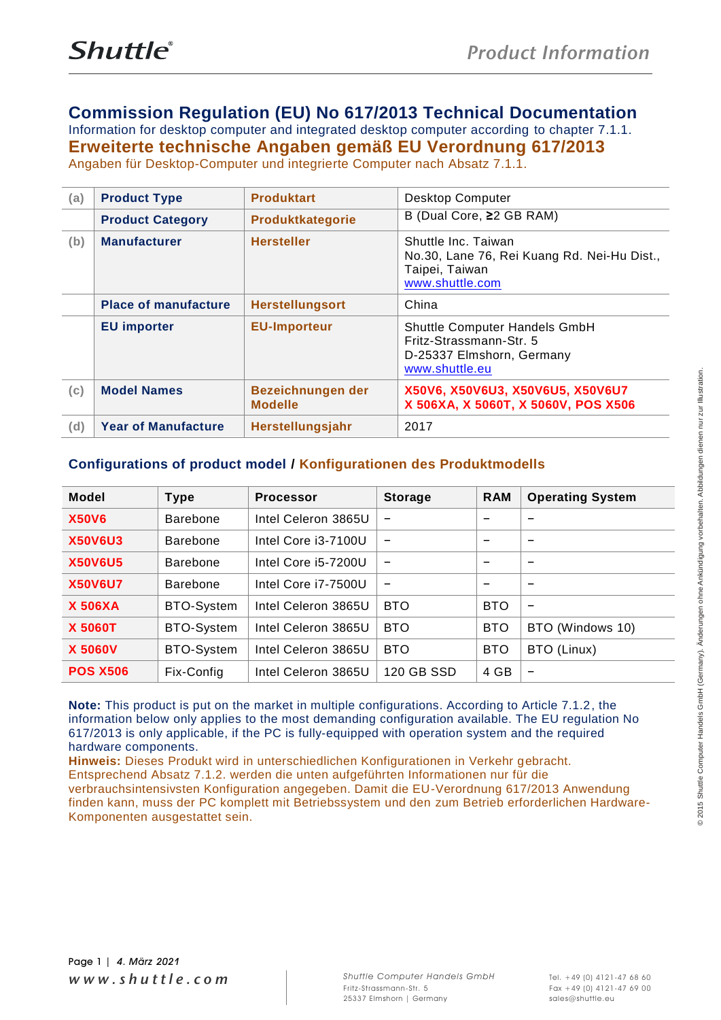# **Commission Regulation (EU) No 617/2013 Technical Documentation**

Information for desktop computer and integrated desktop computer according to chapter 7.1.1. **Erweiterte technische Angaben gemäß EU Verordnung 617/2013** Angaben für Desktop-Computer und integrierte Computer nach Absatz 7.1.1.

| (a) | <b>Product Type</b>         | <b>Produktart</b>                   | <b>Desktop Computer</b>                                                                                 |
|-----|-----------------------------|-------------------------------------|---------------------------------------------------------------------------------------------------------|
|     | <b>Product Category</b>     | Produktkategorie                    | B (Dual Core, ≥2 GB RAM)                                                                                |
| (b) | <b>Manufacturer</b>         | <b>Hersteller</b>                   | Shuttle Inc. Taiwan<br>No.30, Lane 76, Rei Kuang Rd. Nei-Hu Dist.,<br>Taipei, Taiwan<br>www.shuttle.com |
|     | <b>Place of manufacture</b> | <b>Herstellungsort</b>              | China                                                                                                   |
|     | <b>EU</b> importer          | <b>EU-Importeur</b>                 | Shuttle Computer Handels GmbH<br>Fritz-Strassmann-Str. 5<br>D-25337 Elmshorn, Germany<br>www.shuttle.eu |
| (c) | <b>Model Names</b>          | Bezeichnungen der<br><b>Modelle</b> | X50V6, X50V6U3, X50V6U5, X50V6U7<br>X 506XA, X 5060T, X 5060V, POS X506                                 |
| (d) | <b>Year of Manufacture</b>  | Herstellungsjahr                    | 2017                                                                                                    |

### **Configurations of product model / Konfigurationen des Produktmodells**

| <b>Model</b>    | <b>Type</b>     | <b>Processor</b>    | <b>Storage</b>           | <b>RAM</b>               | <b>Operating System</b>  |
|-----------------|-----------------|---------------------|--------------------------|--------------------------|--------------------------|
| <b>X50V6</b>    | <b>Barebone</b> | Intel Celeron 3865U | -                        | -                        |                          |
| <b>X50V6U3</b>  | <b>Barebone</b> | Intel Core i3-7100U | $\overline{\phantom{0}}$ | $\qquad \qquad$          |                          |
| <b>X50V6U5</b>  | <b>Barebone</b> | Intel Core i5-7200U | $\qquad \qquad$          | -                        |                          |
| <b>X50V6U7</b>  | <b>Barebone</b> | Intel Core i7-7500U | -                        | $\overline{\phantom{0}}$ | $\qquad \qquad$          |
| <b>X 506XA</b>  | BTO-System      | Intel Celeron 3865U | <b>BTO</b>               | <b>BTO</b>               | $\overline{\phantom{0}}$ |
| <b>X 5060T</b>  | BTO-System      | Intel Celeron 3865U | <b>BTO</b>               | <b>BTO</b>               | BTO (Windows 10)         |
| <b>X 5060V</b>  | BTO-System      | Intel Celeron 3865U | <b>BTO</b>               | <b>BTO</b>               | BTO (Linux)              |
| <b>POS X506</b> | Fix-Config      | Intel Celeron 3865U | 120 GB SSD               | 4 GB                     | $\qquad \qquad$          |

**Note:** This product is put on the market in multiple configurations. According to Article 7.1.2, the information below only applies to the most demanding configuration available. The EU regulation No 617/2013 is only applicable, if the PC is fully-equipped with operation system and the required hardware components.

**Hinweis:** Dieses Produkt wird in unterschiedlichen Konfigurationen in Verkehr gebracht. Entsprechend Absatz 7.1.2. werden die unten aufgeführten Informationen nur für die verbrauchsintensivsten Konfiguration angegeben. Damit die EU-Verordnung 617/2013 Anwendung finden kann, muss der PC komplett mit Betriebssystem und den zum Betrieb erforderlichen Hardware-Komponenten ausgestattet sein.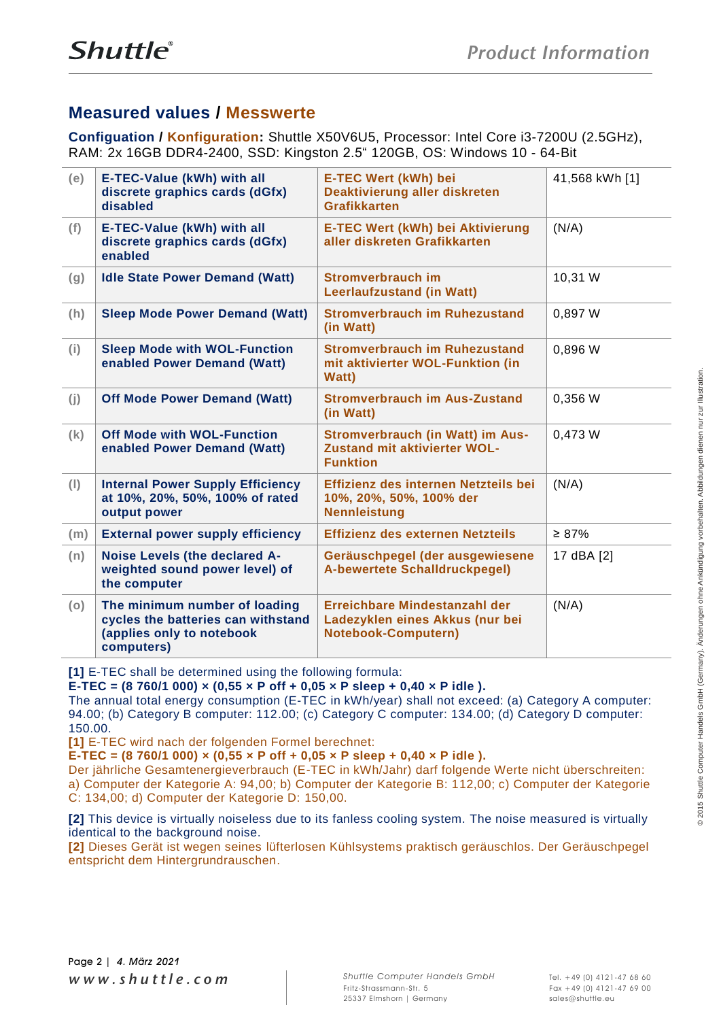# **Measured values / Messwerte**

**Configuation / Konfiguration:** Shuttle X50V6U5, Processor: Intel Core i3-7200U (2.5GHz), RAM: 2x 16GB DDR4-2400, SSD: Kingston 2.5" 120GB, OS: Windows 10 - 64-Bit

| (e) | E-TEC-Value (kWh) with all<br>discrete graphics cards (dGfx)<br>disabled                                       | E-TEC Wert (kWh) bei<br>Deaktivierung aller diskreten<br>Grafikkarten                          | 41,568 kWh [1] |
|-----|----------------------------------------------------------------------------------------------------------------|------------------------------------------------------------------------------------------------|----------------|
| (f) | <b>E-TEC-Value (kWh) with all</b><br>discrete graphics cards (dGfx)<br>enabled                                 | <b>E-TEC Wert (kWh) bei Aktivierung</b><br>aller diskreten Grafikkarten                        | (N/A)          |
| (g) | <b>Idle State Power Demand (Watt)</b>                                                                          | Stromverbrauch im<br><b>Leerlaufzustand (in Watt)</b>                                          | 10,31 W        |
| (h) | <b>Sleep Mode Power Demand (Watt)</b>                                                                          | <b>Stromverbrauch im Ruhezustand</b><br>(in Watt)                                              | 0,897 W        |
| (i) | <b>Sleep Mode with WOL-Function</b><br>enabled Power Demand (Watt)                                             | <b>Stromverbrauch im Ruhezustand</b><br>mit aktivierter WOL-Funktion (in<br><b>Watt)</b>       | 0,896 W        |
| (j) | <b>Off Mode Power Demand (Watt)</b>                                                                            | <b>Stromverbrauch im Aus-Zustand</b><br>(in Watt)                                              | 0,356 W        |
| (k) | <b>Off Mode with WOL-Function</b><br>enabled Power Demand (Watt)                                               | <b>Stromverbrauch (in Watt) im Aus-</b><br>Zustand mit aktivierter WOL-<br><b>Funktion</b>     | 0,473 W        |
| (1) | <b>Internal Power Supply Efficiency</b><br>at 10%, 20%, 50%, 100% of rated<br>output power                     | Effizienz des internen Netzteils bei<br>10%, 20%, 50%, 100% der<br><b>Nennleistung</b>         | (N/A)          |
| (m) | <b>External power supply efficiency</b>                                                                        | Effizienz des externen Netzteils                                                               | $\geq 87\%$    |
| (n) | Noise Levels (the declared A-<br>weighted sound power level) of<br>the computer                                | Geräuschpegel (der ausgewiesene<br><b>A-bewertete Schalldruckpegel)</b>                        | 17 dBA [2]     |
| (o) | The minimum number of loading<br>cycles the batteries can withstand<br>(applies only to notebook<br>computers) | Erreichbare Mindestanzahl der<br>Ladezyklen eines Akkus (nur bei<br><b>Notebook-Computern)</b> | (N/A)          |

**[1]** E-TEC shall be determined using the following formula:

**E-TEC = (8 760/1 000) × (0,55 × P off + 0,05 × P sleep + 0,40 × P idle ).**

The annual total energy consumption (E-TEC in kWh/year) shall not exceed: (a) Category A computer: 94.00; (b) Category B computer: 112.00; (c) Category C computer: 134.00; (d) Category D computer: 150.00.

**[1]** E-TEC wird nach der folgenden Formel berechnet:

**E-TEC = (8 760/1 000) × (0,55 × P off + 0,05 × P sleep + 0,40 × P idle ).**

Der jährliche Gesamtenergieverbrauch (E-TEC in kWh/Jahr) darf folgende Werte nicht überschreiten: a) Computer der Kategorie A: 94,00; b) Computer der Kategorie B: 112,00; c) Computer der Kategorie C: 134,00; d) Computer der Kategorie D: 150,00.

**[2]** This device is virtually noiseless due to its fanless cooling system. The noise measured is virtually identical to the background noise.

**[2]** Dieses Gerät ist wegen seines lüfterlosen Kühlsystems praktisch geräuschlos. Der Geräuschpegel entspricht dem Hintergrundrauschen.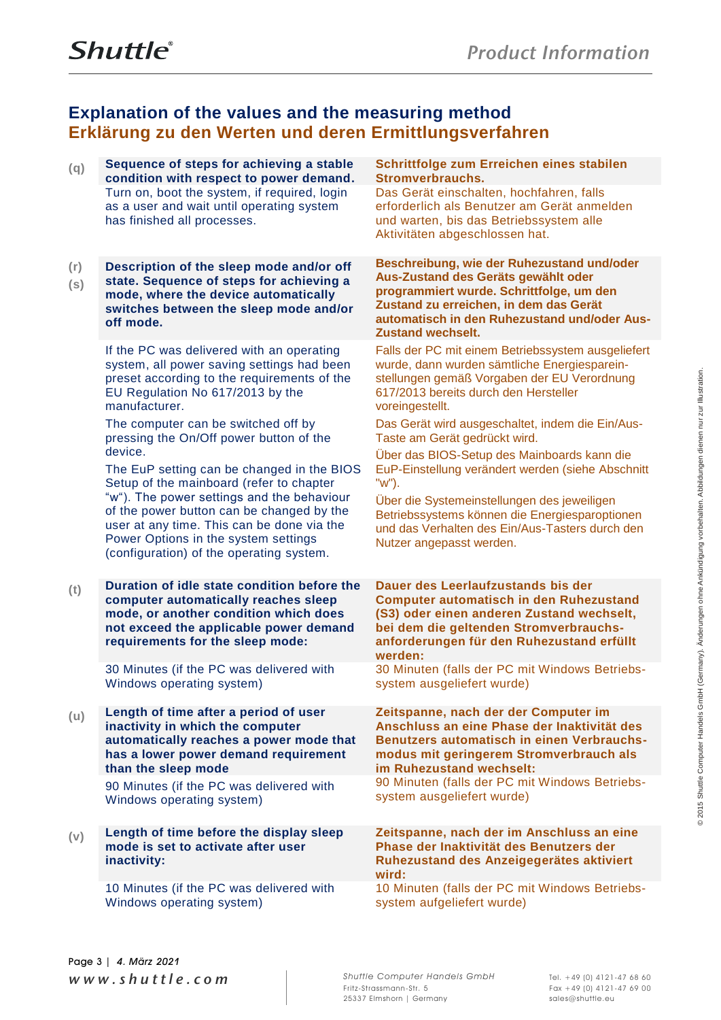# **Explanation of the values and the measuring method Erklärung zu den Werten und deren Ermittlungsverfahren**

| (q)        | Sequence of steps for achieving a stable<br>condition with respect to power demand.                                                                                                                                       | Schrittfolge zum Erreichen eines stabilen<br>Stromverbrauchs.                                                                                                                                                                                       |
|------------|---------------------------------------------------------------------------------------------------------------------------------------------------------------------------------------------------------------------------|-----------------------------------------------------------------------------------------------------------------------------------------------------------------------------------------------------------------------------------------------------|
|            | Turn on, boot the system, if required, login<br>as a user and wait until operating system<br>has finished all processes.                                                                                                  | Das Gerät einschalten, hochfahren, falls<br>erforderlich als Benutzer am Gerät anmelden<br>und warten, bis das Betriebssystem alle<br>Aktivitäten abgeschlossen hat.                                                                                |
| (r)<br>(s) | Description of the sleep mode and/or off<br>state. Sequence of steps for achieving a<br>mode, where the device automatically<br>switches between the sleep mode and/or<br>off mode.                                       | Beschreibung, wie der Ruhezustand und/oder<br>Aus-Zustand des Geräts gewählt oder<br>programmiert wurde. Schrittfolge, um den<br>Zustand zu erreichen, in dem das Gerät<br>automatisch in den Ruhezustand und/oder Aus-<br><b>Zustand wechselt.</b> |
|            | If the PC was delivered with an operating<br>system, all power saving settings had been<br>preset according to the requirements of the<br>EU Regulation No 617/2013 by the<br>manufacturer.                               | Falls der PC mit einem Betriebssystem ausgeliefert<br>wurde, dann wurden sämtliche Energiesparein-<br>stellungen gemäß Vorgaben der EU Verordnung<br>617/2013 bereits durch den Hersteller<br>voreingestellt.                                       |
|            | The computer can be switched off by<br>pressing the On/Off power button of the                                                                                                                                            | Das Gerät wird ausgeschaltet, indem die Ein/Aus-<br>Taste am Gerät gedrückt wird.                                                                                                                                                                   |
|            | device.<br>The EuP setting can be changed in the BIOS<br>Setup of the mainboard (refer to chapter                                                                                                                         | Über das BIOS-Setup des Mainboards kann die<br>EuP-Einstellung verändert werden (siehe Abschnitt<br>"w").                                                                                                                                           |
|            | "w"). The power settings and the behaviour<br>of the power button can be changed by the<br>user at any time. This can be done via the<br>Power Options in the system settings<br>(configuration) of the operating system. | Über die Systemeinstellungen des jeweiligen<br>Betriebssystems können die Energiesparoptionen<br>und das Verhalten des Ein/Aus-Tasters durch den<br>Nutzer angepasst werden.                                                                        |
| (t)        | Duration of idle state condition before the<br>computer automatically reaches sleep<br>mode, or another condition which does<br>not exceed the applicable power demand<br>requirements for the sleep mode:                | Dauer des Leerlaufzustands bis der<br><b>Computer automatisch in den Ruhezustand</b><br>(S3) oder einen anderen Zustand wechselt,<br>bei dem die geltenden Stromverbrauchs-<br>anforderungen für den Ruhezustand erfüllt<br>werden:                 |
|            | 30 Minutes (if the PC was delivered with<br>Windows operating system)                                                                                                                                                     | 30 Minuten (falls der PC mit Windows Betriebs-<br>system ausgeliefert wurde)                                                                                                                                                                        |
| (u)        | Length of time after a period of user<br>inactivity in which the computer<br>automatically reaches a power mode that<br>has a lower power demand requirement<br>than the sleep mode                                       | Zeitspanne, nach der der Computer im<br>Anschluss an eine Phase der Inaktivität des<br>Benutzers automatisch in einen Verbrauchs-<br>modus mit geringerem Stromverbrauch als<br>im Ruhezustand wechselt:                                            |
|            | 90 Minutes (if the PC was delivered with<br>Windows operating system)                                                                                                                                                     | 90 Minuten (falls der PC mit Windows Betriebs-<br>system ausgeliefert wurde)                                                                                                                                                                        |
| (v)        | Length of time before the display sleep<br>mode is set to activate after user<br>inactivity:                                                                                                                              | Zeitspanne, nach der im Anschluss an eine<br>Phase der Inaktivität des Benutzers der<br>Ruhezustand des Anzeigegerätes aktiviert<br>wird:                                                                                                           |
|            | 10 Minutes (if the PC was delivered with<br>Windows operating system)                                                                                                                                                     | 10 Minuten (falls der PC mit Windows Betriebs-<br>system aufgeliefert wurde)                                                                                                                                                                        |

*w w w . s h u t t l e . c o m Shuttle Computer Handels GmbH* Page 3 *| 4. März 2021*